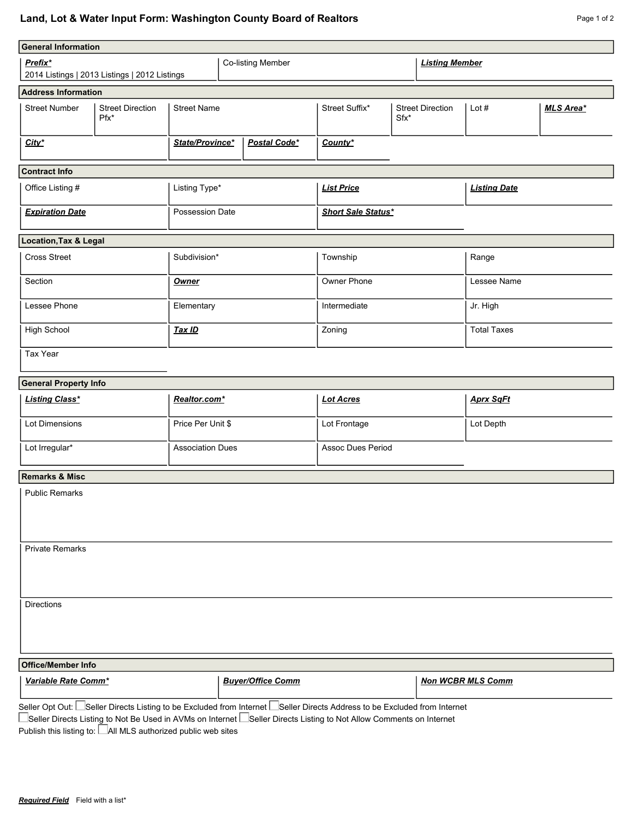## Land, Lot & Water Input Form: Washington County Board of Realtors **Page 1 of 2** Page 1 of 2

| <b>General Information</b>                               |                                   |                                 |  |                   |                           |                                 |                     |                    |                  |  |
|----------------------------------------------------------|-----------------------------------|---------------------------------|--|-------------------|---------------------------|---------------------------------|---------------------|--------------------|------------------|--|
| Prefix*<br>2014 Listings   2013 Listings   2012 Listings |                                   |                                 |  | Co-listing Member | <b>Listing Member</b>     |                                 |                     |                    |                  |  |
| <b>Address Information</b>                               |                                   |                                 |  |                   |                           |                                 |                     |                    |                  |  |
| <b>Street Number</b>                                     | <b>Street Direction</b><br>$Pfx*$ | <b>Street Name</b>              |  |                   | Street Suffix*            | <b>Street Direction</b><br>Sfx* |                     | Lot $#$            | <b>MLS Area*</b> |  |
| $City*$                                                  |                                   | Postal Code*<br>State/Province* |  |                   | County*                   |                                 |                     |                    |                  |  |
| <b>Contract Info</b>                                     |                                   |                                 |  |                   |                           |                                 |                     |                    |                  |  |
| Office Listing #                                         |                                   | Listing Type*                   |  | <b>List Price</b> |                           |                                 | <b>Listing Date</b> |                    |                  |  |
| <b>Expiration Date</b>                                   |                                   | Possession Date                 |  |                   | <b>Short Sale Status*</b> |                                 |                     |                    |                  |  |
| Location, Tax & Legal                                    |                                   |                                 |  |                   |                           |                                 |                     |                    |                  |  |
| <b>Cross Street</b>                                      |                                   | Subdivision*                    |  |                   | Township                  |                                 |                     | Range              |                  |  |
| Section                                                  |                                   | <b>Owner</b>                    |  |                   | Owner Phone               |                                 |                     | Lessee Name        |                  |  |
| Lessee Phone                                             |                                   | Elementary                      |  |                   | Intermediate              |                                 |                     | Jr. High           |                  |  |
| High School                                              |                                   | Tax ID                          |  |                   | Zoning                    |                                 |                     | <b>Total Taxes</b> |                  |  |
| Tax Year                                                 |                                   |                                 |  |                   |                           |                                 |                     |                    |                  |  |
| <b>General Property Info</b>                             |                                   |                                 |  |                   |                           |                                 |                     |                    |                  |  |
| <b>Listing Class*</b>                                    |                                   | Realtor.com*                    |  | <b>Lot Acres</b>  |                           | <b>Aprx SqFt</b>                |                     |                    |                  |  |
| Lot Dimensions                                           |                                   | Price Per Unit \$               |  | Lot Frontage      |                           |                                 | Lot Depth           |                    |                  |  |
| Lot Irregular*                                           |                                   | <b>Association Dues</b>         |  |                   | Assoc Dues Period         |                                 |                     |                    |                  |  |
| <b>Remarks &amp; Misc</b>                                |                                   |                                 |  |                   |                           |                                 |                     |                    |                  |  |
| <b>Public Remarks</b>                                    |                                   |                                 |  |                   |                           |                                 |                     |                    |                  |  |
| <b>Private Remarks</b>                                   |                                   |                                 |  |                   |                           |                                 |                     |                    |                  |  |
| <b>Directions</b>                                        |                                   |                                 |  |                   |                           |                                 |                     |                    |                  |  |

| <b>Office/Member Info</b>                                                                                                     |                          |                          |  |  |  |  |  |
|-------------------------------------------------------------------------------------------------------------------------------|--------------------------|--------------------------|--|--|--|--|--|
| Variable Rate Comm*                                                                                                           | <b>Buyer/Office Comm</b> | <b>Non WCBR MLS Comm</b> |  |  |  |  |  |
| Seller Opt Out: Le Seller Directs Listing to be Excluded from Internet Le Seller Directs Address to be Excluded from Internet |                          |                          |  |  |  |  |  |

Seller Directs Listing to Not Be Used in AVMs on Internet L\_Seller Directs Listing to Not Allow Comments on Internet

Publish this listing to: All MLS authorized public web sites